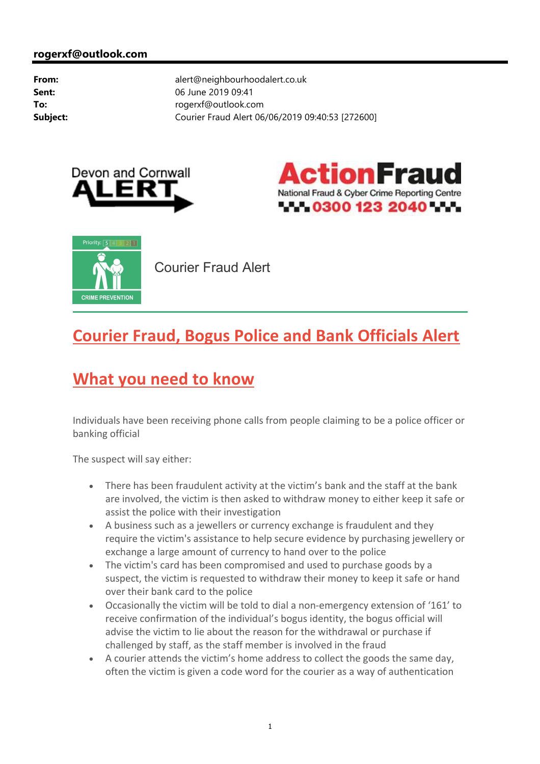





Courier Fraud Alert

## **Courier Fraud, Bogus Police and Bank Officials Alert**

## **What you need to know**

Individuals have been receiving phone calls from people claiming to be a police officer or banking official

The suspect will say either:

- There has been fraudulent activity at the victim's bank and the staff at the bank are involved, the victim is then asked to withdraw money to either keep it safe or assist the police with their investigation
- A business such as a jewellers or currency exchange is fraudulent and they require the victim's assistance to help secure evidence by purchasing jewellery or exchange a large amount of currency to hand over to the police
- The victim's card has been compromised and used to purchase goods by a suspect, the victim is requested to withdraw their money to keep it safe or hand over their bank card to the police
- Occasionally the victim will be told to dial a non-emergency extension of '161' to receive confirmation of the individual's bogus identity, the bogus official will advise the victim to lie about the reason for the withdrawal or purchase if challenged by staff, as the staff member is involved in the fraud
- A courier attends the victim's home address to collect the goods the same day, often the victim is given a code word for the courier as a way of authentication